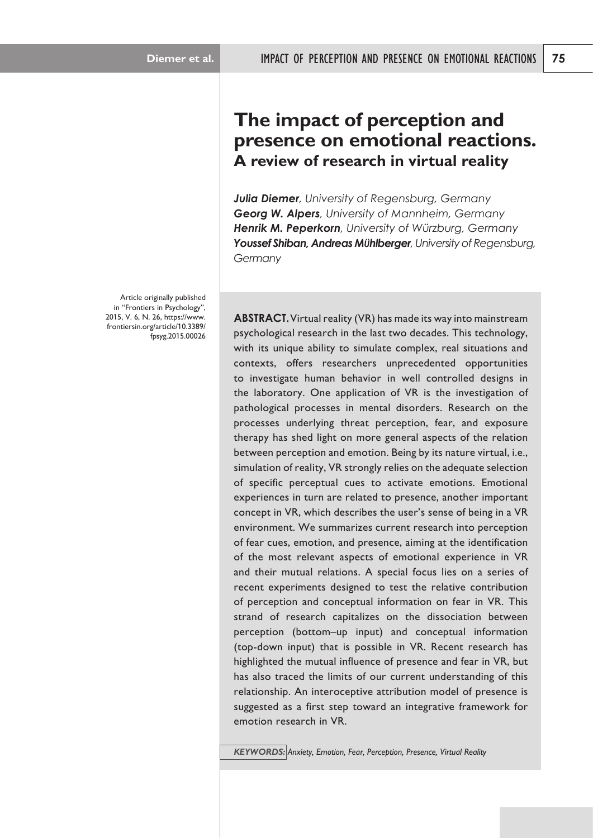# **The impact of perception and presence on emotional reactions. A review of research in virtual reality**

*Julia Diemer, University of Regensburg, Germany Georg W. Alpers, University of Mannheim, Germany Henrik M. Peperkorn, University of Würzburg, Germany Youssef Shiban, Andreas MÜhlberger, University of Regensburg, Germany*

**ABSTRACT.** Virtual reality (VR) has made its way into mainstream psychological research in the last two decades. This technology, with its unique ability to simulate complex, real situations and contexts, offers researchers unprecedented opportunities to investigate human behavior in well controlled designs in the laboratory. One application of VR is the investigation of pathological processes in mental disorders. Research on the processes underlying threat perception, fear, and exposure therapy has shed light on more general aspects of the relation between perception and emotion. Being by its nature virtual, i.e., simulation of reality, VR strongly relies on the adequate selection of specific perceptual cues to activate emotions. Emotional experiences in turn are related to presence, another important concept in VR, which describes the user's sense of being in a VR environment. We summarizes current research into perception of fear cues, emotion, and presence, aiming at the identification of the most relevant aspects of emotional experience in VR and their mutual relations. A special focus lies on a series of recent experiments designed to test the relative contribution of perception and conceptual information on fear in VR. This strand of research capitalizes on the dissociation between perception (bottom–up input) and conceptual information (top-down input) that is possible in VR. Recent research has highlighted the mutual influence of presence and fear in VR, but has also traced the limits of our current understanding of this relationship. An interoceptive attribution model of presence is suggested as a first step toward an integrative framework for emotion research in VR.

*KEYWORDS: Anxiety, Emotion, Fear, Perception, Presence, Virtual Reality*

Article originally published in "Frontiers in Psychology", 2015, V. 6, N. 26, https://www. frontiersin.org/article/10.3389/ fpsyg.2015.00026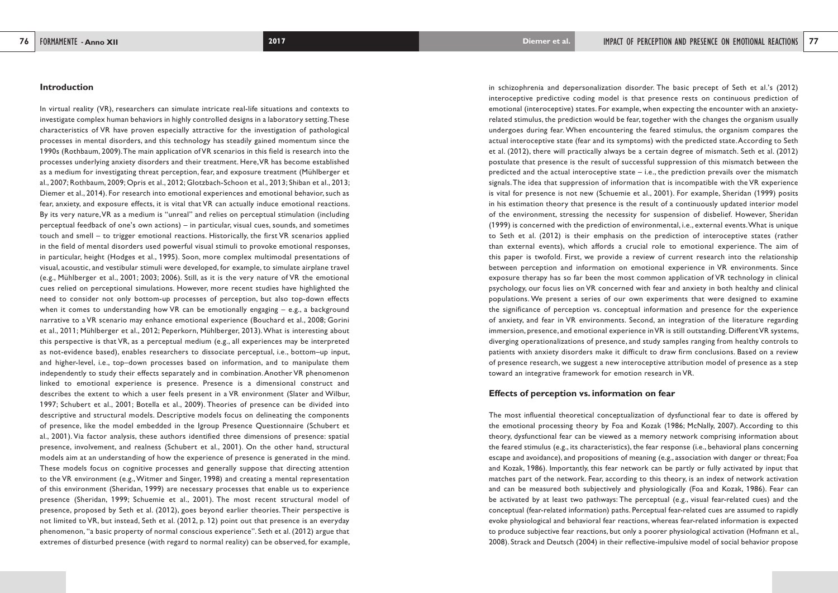in schizophrenia and depersonalization disorder. The basic precept of Seth et al.'s (2012) interoceptive predictive coding model is that presence rests on continuous prediction of emotional (interoceptive) states. For example, when expecting the encounter with an anxietyrelated stimulus, the prediction would be fear, together with the changes the organism usually undergoes during fear. When encountering the feared stimulus, the organism compares the actual interoceptive state (fear and its symptoms) with the predicted state. According to Seth et al. (2012), there will practically always be a certain degree of mismatch. Seth et al. (2012) postulate that presence is the result of successful suppression of this mismatch between the predicted and the actual interoceptive state  $-$  i.e., the prediction prevails over the mismatch signals. The idea that suppression of information that is incompatible with the VR experience is vital for presence is not new (Schuemie et al., 2001). For example, Sheridan (1999) posits in his estimation theory that presence is the result of a continuously updated interior model of the environment, stressing the necessity for suspension of disbelief. However, Sheridan (1999) is concerned with the prediction of environmental, i.e., external events. What is unique to Seth et al. (2012) is their emphasis on the prediction of interoceptive states (rather than external events), which affords a crucial role to emotional experience. The aim of this paper is twofold. First, we provide a review of current research into the relationship between perception and information on emotional experience in VR environments. Since exposure therapy has so far been the most common application of VR technology in clinical psychology, our focus lies on VR concerned with fear and anxiety in both healthy and clinical populations. We present a series of our own experiments that were designed to examine the significance of perception vs. conceptual information and presence for the experience of anxiety, and fear in VR environments. Second, an integration of the literature regarding immersion, presence, and emotional experience in VR is still outstanding. Different VR systems, diverging operationalizations of presence, and study samples ranging from healthy controls to patients with anxiety disorders make it difficult to draw firm conclusions. Based on a review of presence research, we suggest a new interoceptive attribution model of presence as a step toward an integrative framework for emotion research in VR.

# **Effects of perception vs. information on fear**

The most influential theoretical conceptualization of dysfunctional fear to date is offered by the emotional processing theory by Foa and Kozak (1986; McNally, 2007). According to this theory, dysfunctional fear can be viewed as a memory network comprising information about the feared stimulus (e.g., its characteristics), the fear response (i.e., behavioral plans concerning escape and avoidance), and propositions of meaning (e.g., association with danger or threat; Foa and Kozak, 1986). Importantly, this fear network can be partly or fully activated by input that matches part of the network. Fear, according to this theory, is an index of network activation and can be measured both subjectively and physiologically (Foa and Kozak, 1986). Fear can be activated by at least two pathways: The perceptual (e.g., visual fear-related cues) and the conceptual (fear-related information) paths. Perceptual fear-related cues are assumed to rapidly evoke physiological and behavioral fear reactions, whereas fear-related information is expected to produce subjective fear reactions, but only a poorer physiological activation (Hofmann et al., 2008). Strack and Deutsch (2004) in their reflective-impulsive model of social behavior propose

#### **Introduction**

In virtual reality (VR), researchers can simulate intricate real-life situations and contexts to investigate complex human behaviors in highly controlled designs in a laboratory setting. These characteristics of VR have proven especially attractive for the investigation of pathological processes in mental disorders, and this technology has steadily gained momentum since the 1990s (Rothbaum, 2009). The main application of VR scenarios in this field is research into the processes underlying anxiety disorders and their treatment. Here, VR has become established as a medium for investigating threat perception, fear, and exposure treatment (Mühlberger et al., 2007; Rothbaum, 2009; Opris et al., 2012; Glotzbach-Schoon et al., 2013; Shiban et al., 2013; Diemer et al., 2014). For research into emotional experiences and emotional behavior, such as fear, anxiety, and exposure effects, it is vital that VR can actually induce emotional reactions. By its very nature, VR as a medium is "unreal" and relies on perceptual stimulation (including perceptual feedback of one's own actions) – in particular, visual cues, sounds, and sometimes touch and smell – to trigger emotional reactions. Historically, the first VR scenarios applied in the field of mental disorders used powerful visual stimuli to provoke emotional responses, in particular, height (Hodges et al., 1995). Soon, more complex multimodal presentations of visual, acoustic, and vestibular stimuli were developed, for example, to simulate airplane travel (e.g., Mühlberger et al., 2001; 2003; 2006). Still, as it is the very nature of VR the emotional cues relied on perceptional simulations. However, more recent studies have highlighted the need to consider not only bottom-up processes of perception, but also top-down effects when it comes to understanding how VR can be emotionally engaging – e.g., a background narrative to a VR scenario may enhance emotional experience (Bouchard et al., 2008; Gorini et al., 2011; Mühlberger et al., 2012; Peperkorn, Mühlberger, 2013). What is interesting about this perspective is that VR, as a perceptual medium (e.g., all experiences may be interpreted as not-evidence based), enables researchers to dissociate perceptual, i.e., bottom–up input, and higher-level, i.e., top–down processes based on information, and to manipulate them independently to study their effects separately and in combination. Another VR phenomenon linked to emotional experience is presence. Presence is a dimensional construct and describes the extent to which a user feels present in a VR environment (Slater and Wilbur, 1997; Schubert et al., 2001; Botella et al., 2009). Theories of presence can be divided into descriptive and structural models. Descriptive models focus on delineating the components of presence, like the model embedded in the Igroup Presence Questionnaire (Schubert et al., 2001). Via factor analysis, these authors identified three dimensions of presence: spatial presence, involvement, and realness (Schubert et al., 2001). On the other hand, structural models aim at an understanding of how the experience of presence is generated in the mind. These models focus on cognitive processes and generally suppose that directing attention to the VR environment (e.g., Witmer and Singer, 1998) and creating a mental representation of this environment (Sheridan, 1999) are necessary processes that enable us to experience presence (Sheridan, 1999; Schuemie et al., 2001). The most recent structural model of presence, proposed by Seth et al. (2012), goes beyond earlier theories. Their perspective is not limited to VR, but instead, Seth et al. (2012, p. 12) point out that presence is an everyday phenomenon, "a basic property of normal conscious experience". Seth et al. (2012) argue that extremes of disturbed presence (with regard to normal reality) can be observed, for example,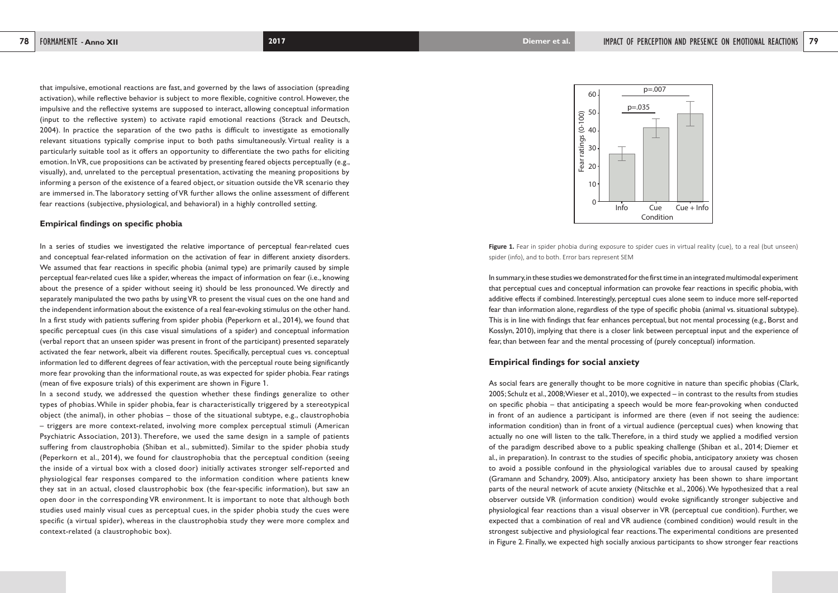20

30



**Figure 1.** Fear in spider phobia during exposure to spider cues in virtual reality (cue), to a real (but unseen)

40

50

60

Fear ratings (0-100)

spider (info), and to both. Error bars represent SEM

In summary, in these studies we demonstrated for the first time in an integrated multimodal experiment that perceptual cues and conceptual information can provoke fear reactions in specific phobia, with additive effects if combined. Interestingly, perceptual cues alone seem to induce more self-reported fear than information alone, regardless of the type of specific phobia (animal vs. situational subtype). This is in line with findings that fear enhances perceptual, but not mental processing (e.g., Borst and Kosslyn, 2010), implying that there is a closer link between perceptual input and the experience of fear, than between fear and the mental processing of (purely conceptual) information.

# **Empirical findings for social anxiety**

As social fears are generally thought to be more cognitive in nature than specific phobias (Clark, 2005; Schulz et al., 2008; Wieser et al., 2010), we expected – in contrast to the results from studies on specific phobia – that anticipating a speech would be more fear-provoking when conducted in front of an audience a participant is informed are there (even if not seeing the audience: information condition) than in front of a virtual audience (perceptual cues) when knowing that actually no one will listen to the talk. Therefore, in a third study we applied a modified version of the paradigm described above to a public speaking challenge (Shiban et al., 2014; Diemer et al., in preparation). In contrast to the studies of specific phobia, anticipatory anxiety was chosen to avoid a possible confound in the physiological variables due to arousal caused by speaking (Gramann and Schandry, 2009). Also, anticipatory anxiety has been shown to share important parts of the neural network of acute anxiety (Nitschke et al., 2006). We hypothesized that a real observer outside VR (information condition) would evoke significantly stronger subjective and physiological fear reactions than a visual observer in VR (perceptual cue condition). Further, we expected that a combination of real and VR audience (combined condition) would result in the strongest subjective and physiological fear reactions. The experimental conditions are presented in Figure 2. Finally, we expected high socially anxious participants to show stronger fear reactions

that impulsive, emotional reactions are fast, and governed by the laws of association (spreading activation), while reflective behavior is subject to more flexible, cognitive control. However, the impulsive and the reflective systems are supposed to interact, allowing conceptual information (input to the reflective system) to activate rapid emotional reactions (Strack and Deutsch, 2004). In practice the separation of the two paths is difficult to investigate as emotionally relevant situations typically comprise input to both paths simultaneously. Virtual reality is a particularly suitable tool as it offers an opportunity to differentiate the two paths for eliciting emotion. In VR, cue propositions can be activated by presenting feared objects perceptually (e.g., visually), and, unrelated to the perceptual presentation, activating the meaning propositions by informing a person of the existence of a feared object, or situation outside the VR scenario they are immersed in. The laboratory setting of VR further allows the online assessment of different fear reactions (subjective, physiological, and behavioral) in a highly controlled setting.

#### **Empirical findings on specific phobia**

In a series of studies we investigated the relative importance of perceptual fear-related cues and conceptual fear-related information on the activation of fear in different anxiety disorders. We assumed that fear reactions in specific phobia (animal type) are primarily caused by simple perceptual fear-related cues like a spider, whereas the impact of information on fear (i.e., knowing about the presence of a spider without seeing it) should be less pronounced. We directly and separately manipulated the two paths by using VR to present the visual cues on the one hand and the independent information about the existence of a real fear-evoking stimulus on the other hand. In a first study with patients suffering from spider phobia (Peperkorn et al., 2014), we found that specific perceptual cues (in this case visual simulations of a spider) and conceptual information (verbal report that an unseen spider was present in front of the participant) presented separately activated the fear network, albeit via different routes. Specifically, perceptual cues vs. conceptual information led to different degrees of fear activation, with the perceptual route being significantly more fear provoking than the informational route, as was expected for spider phobia. Fear ratings (mean of five exposure trials) of this experiment are shown in Figure 1.

In a second study, we addressed the question whether these findings generalize to other types of phobias. While in spider phobia, fear is characteristically triggered by a stereotypical object (the animal), in other phobias – those of the situational subtype, e.g., claustrophobia – triggers are more context-related, involving more complex perceptual stimuli (American Psychiatric Association, 2013). Therefore, we used the same design in a sample of patients suffering from claustrophobia (Shiban et al., submitted). Similar to the spider phobia study (Peperkorn et al., 2014), we found for claustrophobia that the perceptual condition (seeing the inside of a virtual box with a closed door) initially activates stronger self-reported and physiological fear responses compared to the information condition where patients knew they sat in an actual, closed claustrophobic box (the fear-specific information), but saw an open door in the corresponding VR environment. It is important to note that although both studies used mainly visual cues as perceptual cues, in the spider phobia study the cues were specific (a virtual spider), whereas in the claustrophobia study they were more complex and context-related (a claustrophobic box).

 $10 -$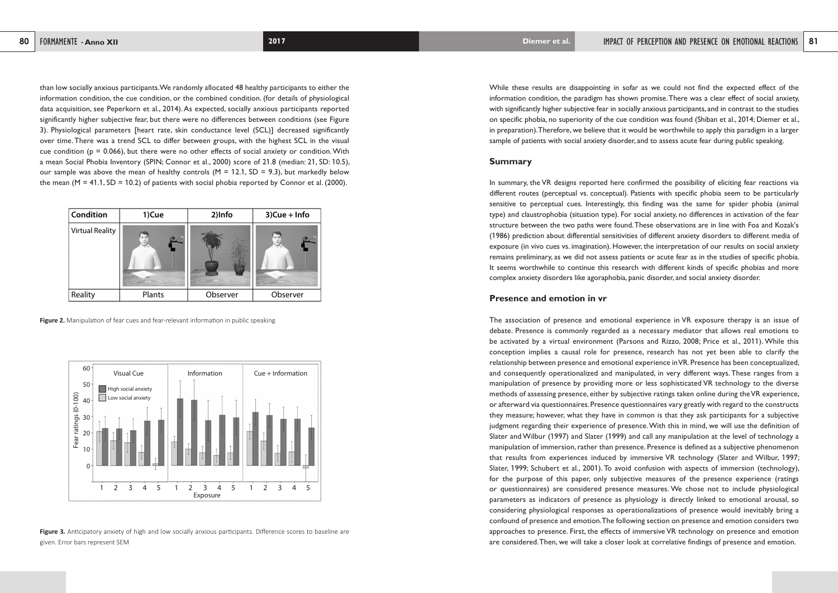While these results are disappointing in sofar as we could not find the expected effect of the information condition, the paradigm has shown promise. There was a clear effect of social anxiety, with significantly higher subjective fear in socially anxious participants, and in contrast to the studies on specific phobia, no superiority of the cue condition was found (Shiban et al., 2014; Diemer et al., in preparation). Therefore, we believe that it would be worthwhile to apply this paradigm in a larger sample of patients with social anxiety disorder, and to assess acute fear during public speaking.

### **Summary**

In summary, the VR designs reported here confirmed the possibility of eliciting fear reactions via different routes (perceptual vs. conceptual). Patients with specific phobia seem to be particularly sensitive to perceptual cues. Interestingly, this finding was the same for spider phobia (animal type) and claustrophobia (situation type). For social anxiety, no differences in activation of the fear structure between the two paths were found. These observations are in line with Foa and Kozak's (1986) prediction about differential sensitivities of different anxiety disorders to different media of exposure (in vivo cues vs. imagination). However, the interpretation of our results on social anxiety remains preliminary, as we did not assess patients or acute fear as in the studies of specific phobia. It seems worthwhile to continue this research with different kinds of specific phobias and more complex anxiety disorders like agoraphobia, panic disorder, and social anxiety disorder.

# **Presence and emotion in vr**

than low socially anxious participants. We randomly allocated 48 healthy participants to either the information condition, the cue condition, or the combined condition. (for details of physiological data acquisition, see Peperkorn et al., 2014). As expected, socially anxious participants reported significantly higher subjective fear, but there were no differences between conditions (see Figure 3). Physiological parameters [heart rate, skin conductance level (SCL)] decreased significantly over time. There was a trend SCL to differ between groups, with the highest SCL in the visual cue condition ( $p = 0.066$ ), but there were no other effects of social anxiety or condition. With a mean Social Phobia Inventory (SPIN; Connor et al., 2000) score of 21.8 (median: 21, SD: 10.5), our sample was above the mean of healthy controls ( $M = 12.1$ ,  $SD = 9.3$ ), but markedly below the mean  $(M = 41.1, SD = 10.2)$  of patients with social phobia reported by Connor et al. (2000).

**Figure 3.** Anticipatory anxiety of high and low socially anxious participants. Difference scores to baseline are given. Error bars represent SEM

The association of presence and emotional experience in VR exposure therapy is an issue of debate. Presence is commonly regarded as a necessary mediator that allows real emotions to be activated by a virtual environment (Parsons and Rizzo, 2008; Price et al., 2011). While this conception implies a causal role for presence, research has not yet been able to clarify the relationship between presence and emotional experience in VR. Presence has been conceptualized, and consequently operationalized and manipulated, in very different ways. These ranges from a manipulation of presence by providing more or less sophisticated VR technology to the diverse methods of assessing presence, either by subjective ratings taken online during the VR experience, or afterward via questionnaires. Presence questionnaires vary greatly with regard to the constructs they measure; however, what they have in common is that they ask participants for a subjective judgment regarding their experience of presence. With this in mind, we will use the definition of Slater and Wilbur (1997) and Slater (1999) and call any manipulation at the level of technology a manipulation of immersion, rather than presence. Presence is defined as a subjective phenomenon that results from experiences induced by immersive VR technology (Slater and Wilbur, 1997; Slater, 1999; Schubert et al., 2001). To avoid confusion with aspects of immersion (technology), for the purpose of this paper, only subjective measures of the presence experience (ratings or questionnaires) are considered presence measures. We chose not to include physiological parameters as indicators of presence as physiology is directly linked to emotional arousal, so considering physiological responses as operationalizations of presence would inevitably bring a confound of presence and emotion. The following section on presence and emotion considers two approaches to presence. First, the effects of immersive VR technology on presence and emotion are considered. Then, we will take a closer look at correlative findings of presence and emotion.

| <b>Condition</b>       | 1)Cue  | 2)Info   | $3)$ Cue + Info |
|------------------------|--------|----------|-----------------|
| <b>Virtual Reality</b> | コロ     |          | 学院              |
| Reality                | Plants | Observer | Observer        |

**Figure 2.** Manipulation of fear cues and fear-relevant information in public speaking

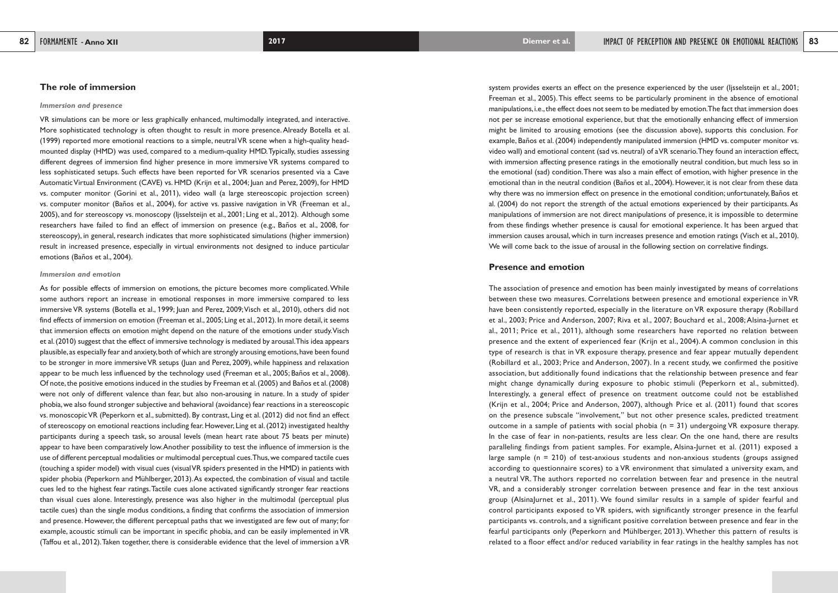system provides exerts an effect on the presence experienced by the user (Ijsselsteijn et al., 2001; Freeman et al., 2005). This effect seems to be particularly prominent in the absence of emotional manipulations, i.e., the effect does not seem to be mediated by emotion. The fact that immersion does not per se increase emotional experience, but that the emotionally enhancing effect of immersion might be limited to arousing emotions (see the discussion above), supports this conclusion. For example, Baños et al. (2004) independently manipulated immersion (HMD vs. computer monitor vs. video wall) and emotional content (sad vs. neutral) of a VR scenario. They found an interaction effect, with immersion affecting presence ratings in the emotionally neutral condition, but much less so in the emotional (sad) condition. There was also a main effect of emotion, with higher presence in the emotional than in the neutral condition (Baños et al., 2004). However, it is not clear from these data why there was no immersion effect on presence in the emotional condition; unfortunately, Baños et al. (2004) do not report the strength of the actual emotions experienced by their participants. As manipulations of immersion are not direct manipulations of presence, it is impossible to determine from these findings whether presence is causal for emotional experience. It has been argued that immersion causes arousal, which in turn increases presence and emotion ratings (Visch et al., 2010). We will come back to the issue of arousal in the following section on correlative findings.

### **Presence and emotion**

The association of presence and emotion has been mainly investigated by means of correlations between these two measures. Correlations between presence and emotional experience in VR have been consistently reported, especially in the literature on VR exposure therapy (Robillard et al., 2003; Price and Anderson, 2007; Riva et al., 2007; Bouchard et al., 2008; Alsina-Jurnet et al., 2011; Price et al., 2011), although some researchers have reported no relation between presence and the extent of experienced fear (Krijn et al., 2004). A common conclusion in this type of research is that in VR exposure therapy, presence and fear appear mutually dependent (Robillard et al., 2003; Price and Anderson, 2007). In a recent study, we confirmed the positive association, but additionally found indications that the relationship between presence and fear might change dynamically during exposure to phobic stimuli (Peperkorn et al., submitted). Interestingly, a general effect of presence on treatment outcome could not be established (Krijn et al., 2004; Price and Anderson, 2007), although Price et al. (2011) found that scores on the presence subscale "involvement," but not other presence scales, predicted treatment outcome in a sample of patients with social phobia ( $n = 31$ ) undergoing VR exposure therapy. In the case of fear in non-patients, results are less clear. On the one hand, there are results paralleling findings from patient samples. For example, Alsina-Jurnet et al. (2011) exposed a large sample ( $n = 210$ ) of test-anxious students and non-anxious students (groups assigned according to questionnaire scores) to a VR environment that simulated a university exam, and a neutral VR. The authors reported no correlation between fear and presence in the neutral VR, and a considerably stronger correlation between presence and fear in the test anxious group (AlsinaJurnet et al., 2011). We found similar results in a sample of spider fearful and control participants exposed to VR spiders, with significantly stronger presence in the fearful participants vs. controls, and a significant positive correlation between presence and fear in the fearful participants only (Peperkorn and Mühlberger, 2013). Whether this pattern of results is related to a floor effect and/or reduced variability in fear ratings in the healthy samples has not

### **The role of immersion**

#### *Immersion and presence*

VR simulations can be more or less graphically enhanced, multimodally integrated, and interactive. More sophisticated technology is often thought to result in more presence. Already Botella et al. (1999) reported more emotional reactions to a simple, neutral VR scene when a high-quality headmounted display (HMD) was used, compared to a medium-quality HMD. Typically, studies assessing different degrees of immersion find higher presence in more immersive VR systems compared to less sophisticated setups. Such effects have been reported for VR scenarios presented via a Cave Automatic Virtual Environment (CAVE) vs. HMD (Krijn et al., 2004; Juan and Perez, 2009), for HMD vs. computer monitor (Gorini et al., 2011), video wall (a large stereoscopic projection screen) vs. computer monitor (Baños et al., 2004), for active vs. passive navigation in VR (Freeman et al., 2005), and for stereoscopy vs. monoscopy (Ijsselsteijn et al., 2001; Ling et al., 2012). Although some researchers have failed to find an effect of immersion on presence (e.g., Baños et al., 2008, for stereoscopy), in general, research indicates that more sophisticated simulations (higher immersion) result in increased presence, especially in virtual environments not designed to induce particular emotions (Baños et al., 2004).

#### *Immersion and emotion*

As for possible effects of immersion on emotions, the picture becomes more complicated. While some authors report an increase in emotional responses in more immersive compared to less immersive VR systems (Botella et al., 1999; Juan and Perez, 2009; Visch et al., 2010), others did not find effects of immersion on emotion (Freeman et al., 2005; Ling et al., 2012). In more detail, it seems that immersion effects on emotion might depend on the nature of the emotions under study. Visch et al. (2010) suggest that the effect of immersive technology is mediated by arousal. This idea appears plausible, as especially fear and anxiety, both of which are strongly arousing emotions, have been found to be stronger in more immersive VR setups (Juan and Perez, 2009), while happiness and relaxation appear to be much less influenced by the technology used (Freeman et al., 2005; Baños et al., 2008). Of note, the positive emotions induced in the studies by Freeman et al. (2005) and Baños et al. (2008) were not only of different valence than fear, but also non-arousing in nature. In a study of spider phobia, we also found stronger subjective and behavioral (avoidance) fear reactions in a stereoscopic vs. monoscopic VR (Peperkorn et al., submitted). By contrast, Ling et al. (2012) did not find an effect of stereoscopy on emotional reactions including fear. However, Ling et al. (2012) investigated healthy participants during a speech task, so arousal levels (mean heart rate about 75 beats per minute) appear to have been comparatively low. Another possibility to test the influence of immersion is the use of different perceptual modalities or multimodal perceptual cues. Thus, we compared tactile cues (touching a spider model) with visual cues (visual VR spiders presented in the HMD) in patients with spider phobia (Peperkorn and Mühlberger, 2013). As expected, the combination of visual and tactile cues led to the highest fear ratings. Tactile cues alone activated significantly stronger fear reactions than visual cues alone. Interestingly, presence was also higher in the multimodal (perceptual plus tactile cues) than the single modus conditions, a finding that confirms the association of immersion and presence. However, the different perceptual paths that we investigated are few out of many; for example, acoustic stimuli can be important in specific phobia, and can be easily implemented in VR (Taffou et al., 2012). Taken together, there is considerable evidence that the level of immersion a VR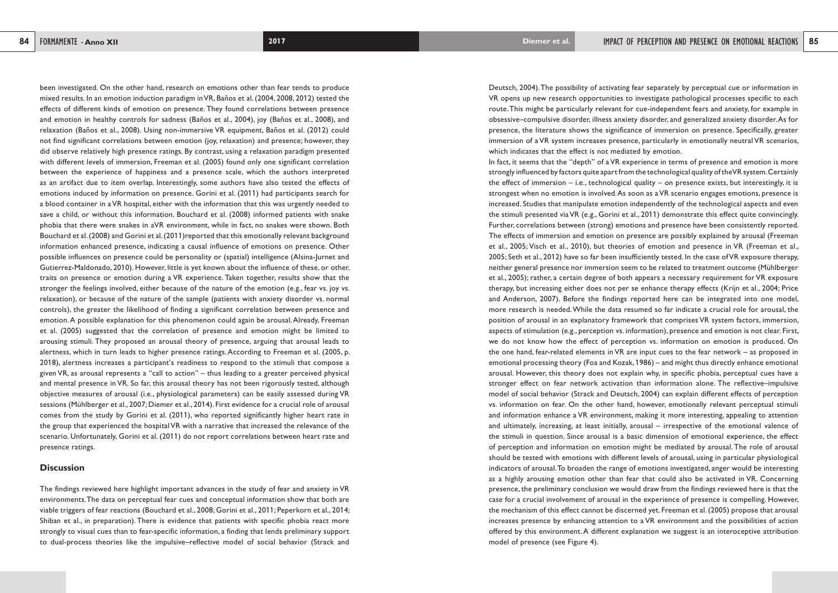Deutsch, 2004). The possibility of activating fear separately by perceptual cue or information in VR opens up new research opportunities to investigate pathological processes specific to each route. This might be particularly relevant for cue-independent fears and anxiety, for example in obsessive–compulsive disorder, illness anxiety disorder, and generalized anxiety disorder. As for presence, the literature shows the significance of immersion on presence. Specifically, greater immersion of a VR system increases presence, particularly in emotionally neutral VR scenarios, which indicates that the effect is not mediated by emotion. In fact, it seems that the "depth" of a VR experience in terms of presence and emotion is more strongly influenced by factors quite apart from the technological quality of the VR system. Certainly the effect of immersion  $-$  i.e., technological quality  $-$  on presence exists, but interestingly, it is strongest when no emotion is involved. As soon as a VR scenario engages emotions, presence is increased. Studies that manipulate emotion independently of the technological aspects and even the stimuli presented via VR (e.g., Gorini et al., 2011) demonstrate this effect quite convincingly. Further, correlations between (strong) emotions and presence have been consistently reported. The effects of immersion and emotion on presence are possibly explained by arousal (Freeman et al., 2005; Visch et al., 2010), but theories of emotion and presence in VR (Freeman et al., 2005; Seth et al., 2012) have so far been insufficiently tested. In the case of VR exposure therapy, neither general presence nor immersion seem to be related to treatment outcome (Mühlberger et al., 2005); rather, a certain degree of both appears a necessary requirement for VR exposure therapy, but increasing either does not per se enhance therapy effects (Krijn et al., 2004; Price and Anderson, 2007). Before the findings reported here can be integrated into one model, more research is needed. While the data resumed so far indicate a crucial role for arousal, the position of arousal in an explanatory framework that comprises VR system factors, immersion, aspects of stimulation (e.g., perception vs. information), presence and emotion is not clear. First, we do not know how the effect of perception vs. information on emotion is produced. On the one hand, fear-related elements in VR are input cues to the fear network – as proposed in emotional processing theory (Foa and Kozak, 1986) – and might thus directly enhance emotional arousal. However, this theory does not explain why, in specific phobia, perceptual cues have a stronger effect on fear network activation than information alone. The reflective–impulsive model of social behavior (Strack and Deutsch, 2004) can explain different effects of perception vs. information on fear. On the other hand, however, emotionally relevant perceptual stimuli and information enhance a VR environment, making it more interesting, appealing to attention and ultimately, increasing, at least initially, arousal – irrespective of the emotional valence of the stimuli in question. Since arousal is a basic dimension of emotional experience, the effect of perception and information on emotion might be mediated by arousal. The role of arousal should be tested with emotions with different levels of arousal, using in particular physiological indicators of arousal. To broaden the range of emotions investigated, anger would be interesting as a highly arousing emotion other than fear that could also be activated in VR. Concerning presence, the preliminary conclusion we would draw from the findings reviewed here is that the case for a crucial involvement of arousal in the experience of presence is compelling. However, the mechanism of this effect cannot be discerned yet. Freeman et al. (2005) propose that arousal increases presence by enhancing attention to a VR environment and the possibilities of action offered by this environment. A different explanation we suggest is an interoceptive attribution model of presence (see Figure 4).

been investigated. On the other hand, research on emotions other than fear tends to produce mixed results. In an emotion induction paradigm in VR, Baños et al. (2004, 2008, 2012) tested the effects of different kinds of emotion on presence. They found correlations between presence and emotion in healthy controls for sadness (Baños et al., 2004), joy (Baños et al., 2008), and relaxation (Baños et al., 2008). Using non-immersive VR equipment, Baños et al. (2012) could not find significant correlations between emotion (joy, relaxation) and presence; however, they did observe relatively high presence ratings. By contrast, using a relaxation paradigm presented with different levels of immersion, Freeman et al. (2005) found only one significant correlation between the experience of happiness and a presence scale, which the authors interpreted as an artifact due to item overlap. Interestingly, some authors have also tested the effects of emotions induced by information on presence. Gorini et al. (2011) had participants search for a blood container in a VR hospital, either with the information that this was urgently needed to save a child, or without this information. Bouchard et al. (2008) informed patients with snake phobia that there were snakes in aVR environment, while in fact, no snakes were shown. Both Bouchard et al. (2008) and Gorini et al. (2011)reported that this emotionally relevant background information enhanced presence, indicating a causal influence of emotions on presence. Other possible influences on presence could be personality or (spatial) intelligence (Alsina-Jurnet and Gutierrez-Maldonado, 2010). However, little is yet known about the influence of these, or other, traits on presence or emotion during a VR experience. Taken together, results show that the stronger the feelings involved, either because of the nature of the emotion (e.g., fear vs. joy vs. relaxation), or because of the nature of the sample (patients with anxiety disorder vs. normal controls), the greater the likelihood of finding a significant correlation between presence and emotion. A possible explanation for this phenomenon could again be arousal. Already, Freeman et al. (2005) suggested that the correlation of presence and emotion might be limited to arousing stimuli. They proposed an arousal theory of presence, arguing that arousal leads to alertness, which in turn leads to higher presence ratings. According to Freeman et al. (2005, p. 2018), alertness increases a participant's readiness to respond to the stimuli that compose a given VR, as arousal represents a "call to action" – thus leading to a greater perceived physical and mental presence in VR. So far, this arousal theory has not been rigorously tested, although objective measures of arousal (i.e., physiological parameters) can be easily assessed during VR sessions (Mühlberger et al., 2007; Diemer et al., 2014). First evidence for a crucial role of arousal comes from the study by Gorini et al. (2011), who reported significantly higher heart rate in the group that experienced the hospital VR with a narrative that increased the relevance of the scenario. Unfortunately, Gorini et al. (2011) do not report correlations between heart rate and presence ratings.

# **Discussion**

The findings reviewed here highlight important advances in the study of fear and anxiety in VR environments. The data on perceptual fear cues and conceptual information show that both are viable triggers of fear reactions (Bouchard et al., 2008; Gorini et al., 2011; Peperkorn et al., 2014; Shiban et al., in preparation). There is evidence that patients with specific phobia react more strongly to visual cues than to fear-specific information, a finding that lends preliminary support to dual-process theories like the impulsive–reflective model of social behavior (Strack and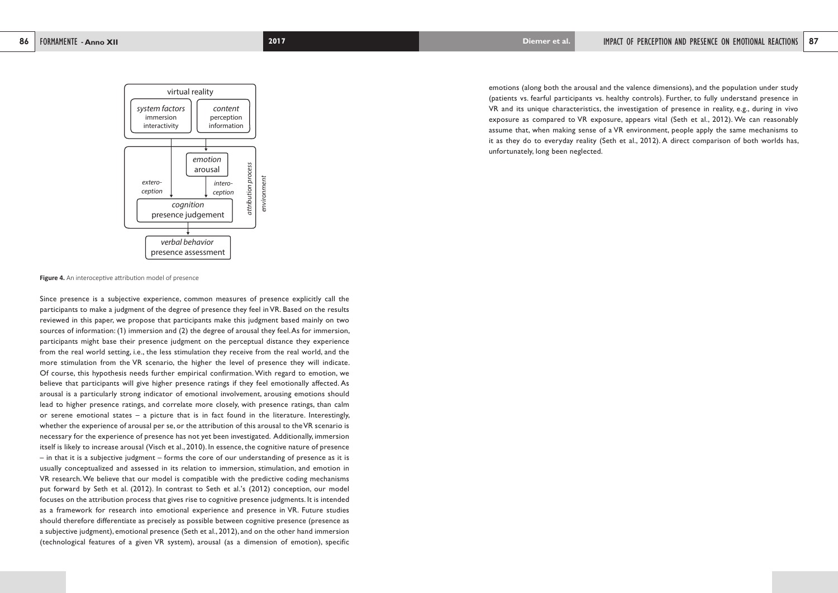emotions (along both the arousal and the valence dimensions), and the population under study (patients vs. fearful participants vs. healthy controls). Further, to fully understand presence in VR and its unique characteristics, the investigation of presence in reality, e.g., during in vivo exposure as compared to VR exposure, appears vital (Seth et al., 2012). We can reasonably assume that, when making sense of a VR environment, people apply the same mechanisms to it as they do to everyday reality (Seth et al., 2012). A direct comparison of both worlds has, unfortunately, long been neglected.

**Figure 4.** An interoceptive attribution model of presence



Since presence is a subjective experience, common measures of presence explicitly call the participants to make a judgment of the degree of presence they feel in VR. Based on the results reviewed in this paper, we propose that participants make this judgment based mainly on two sources of information: (1) immersion and (2) the degree of arousal they feel. As for immersion, participants might base their presence judgment on the perceptual distance they experience from the real world setting, i.e., the less stimulation they receive from the real world, and the more stimulation from the VR scenario, the higher the level of presence they will indicate. Of course, this hypothesis needs further empirical confirmation. With regard to emotion, we believe that participants will give higher presence ratings if they feel emotionally affected. As arousal is a particularly strong indicator of emotional involvement, arousing emotions should lead to higher presence ratings, and correlate more closely, with presence ratings, than calm or serene emotional states – a picture that is in fact found in the literature. Interestingly, whether the experience of arousal per se, or the attribution of this arousal to the VR scenario is necessary for the experience of presence has not yet been investigated. Additionally, immersion itself is likely to increase arousal (Visch et al., 2010). In essence, the cognitive nature of presence – in that it is a subjective judgment – forms the core of our understanding of presence as it is usually conceptualized and assessed in its relation to immersion, stimulation, and emotion in VR research. We believe that our model is compatible with the predictive coding mechanisms put forward by Seth et al. (2012). In contrast to Seth et al.'s (2012) conception, our model focuses on the attribution process that gives rise to cognitive presence judgments. It is intended as a framework for research into emotional experience and presence in VR. Future studies should therefore differentiate as precisely as possible between cognitive presence (presence as a subjective judgment), emotional presence (Seth et al., 2012), and on the other hand immersion (technological features of a given VR system), arousal (as a dimension of emotion), specific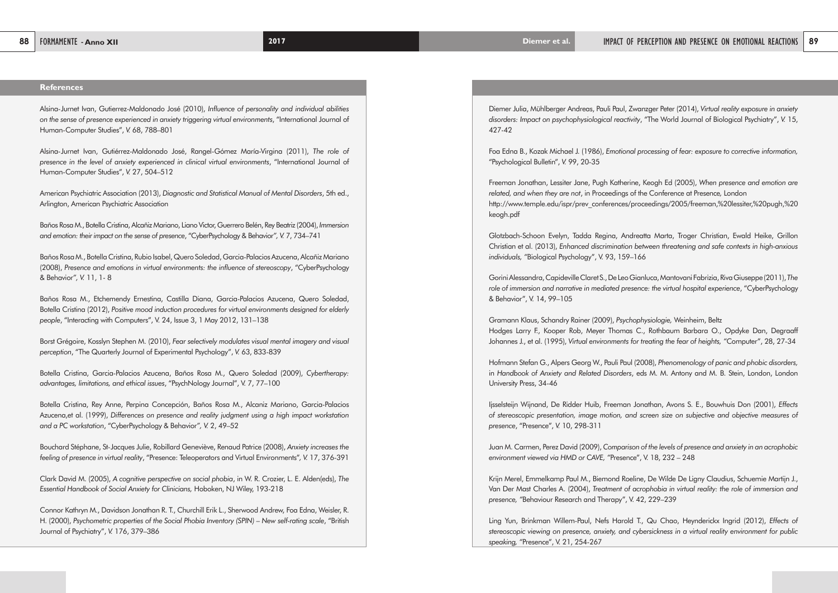Diemer Julia, Mühlberger Andreas, Pauli Paul, Zwanzger Peter (2014), *Virtual reality exposure in anxiety disorders: Impact on psychophysiological reactivity*, "The World Journal of Biological Psychiatry", *V.* 15, 427-42

Foa Edna B., Kozak Michael J. (1986), *Emotional processing of fear: exposure to corrective information,*  "Psychological Bulletin", *V.* 99, 20-35

Freeman Jonathan, Lessiter Jane, Pugh Katherine, Keogh Ed (2005), *When presence and emotion are related, and when they are not*, in Proceedings of the Conference at Presence*,* London http://www.temple.edu/ispr/prev\_conferences/proceedings/2005/freeman,%20lessiter,%20pugh,%20 keogh.pdf

Glotzbach-Schoon Evelyn, Tadda Regina, Andreatta Marta, Troger Christian, Ewald Heike, Grillon Christian et al. (2013), *Enhanced discrimination between threatening and safe contexts in high-anxious individuals, "*Biological Psychology", V. 93, 159–166

Gorini Alessandra, Capideville Claret S., De Leo Gianluca, Mantovani Fabrizia, Riva Giuseppe (2011), *The role of immersion and narrative in mediated presence: the virtual hospital experience*, "CyberPsychology & Behavior", V. 14, 99–105

Gramann Klaus, Schandry Rainer (2009), *Psychophysiologie,* Weinheim, Beltz Hodges Larry F., Kooper Rob, Meyer Thomas C., Rothbaum Barbara O., Opdyke Dan, Degraaff Johannes J., et al. (1995), *Virtual environments for treating the fear of heights, "*Computer", 28, 27-34

Hofmann Stefan G., Alpers Georg W., Pauli Paul (2008), *Phenomenology of panic and phobic disorders,* in *Handbook of Anxiety and Related Disorders*, eds M. M. Antony and M. B. Stein, London, London University Press, 34-46

Ijsselsteijn Wijnand, De Ridder Huib, Freeman Jonathan, Avons S. E., Bouwhuis Don (2001), *Effects of stereoscopic presentation, image motion, and screen size on subjective and objective measures of presence*, "Presence", *V.* 10, 298-311

Juan M. Carmen, Perez David (2009), *Comparison of the levels of presence and anxiety in an acrophobic environment viewed via HMD or CAVE, "*Presence", V. 18, 232 – 248

Krijn Merel, Emmelkamp Paul M., Biemond Roeline, De Wilde De Ligny Claudius, Schuemie Martijn J., Van Der Mast Charles A. (2004), *Treatment of acrophobia in virtual reality: the role of immersion and presence, "*Behaviour Research and Therapy", V. 42, 229–239

Ling Yun, Brinkman Willem-Paul, Nefs Harold T., Qu Chao, Heynderickx Ingrid (2012), *Effects of stereoscopic viewing on presence, anxiety, and cybersickness in a virtual reality environment for public speaking, "*Presence", V. 21, 254-267

# **References**

Alsina-Jurnet Ivan, Gutierrez-Maldonado José (2010), *Influence of personality and individual abilities on the sense of presence experienced in anxiety triggering virtual environments*, "International Journal of Human-Computer Studies", *V.* 68, 788–801

Alsina-Jurnet Ivan, Gutiérrez-Maldonado José, Rangel-Gómez María-Virgina (2011), *The role of presence in the level of anxiety experienced in clinical virtual environments*, "International Journal of Human-Computer Studies", *V.* 27, 504–512

American Psychiatric Association (2013), *Diagnostic and Statistical Manual of Mental Disorders*, 5th ed., Arlington, American Psychiatric Association

Baños Rosa M., Botella Cristina, Alcañiz Mariano, Liano Victor, Guerrero Belén, Rey Beatriz (2004), *Immersion and emotion: their impact on the sense of presence*, "CyberPsychology & Behavior*", V.* 7, 734–741

Baños Rosa M., Botella Cristina, Rubio Isabel, Quero Soledad, Garcia-Palacios Azucena, Alcañiz Mariano (2008), *Presence and emotions in virtual environments: the influence of stereoscopy*, "CyberPsychology & Behavior*", V.* 11, 1- 8

Baños Rosa M., Etchemendy Ernestina, Castilla Diana, Garcia-Palacios Azucena, Quero Soledad, Botella Cristina (2012), *Positive mood induction procedures for virtual environments designed for elderly people*, "Interacting with Computers", V. 24, Issue 3, 1 May 2012, 131–138

Borst Grégoire, Kosslyn Stephen M. (2010), *Fear selectively modulates visual mental imagery and visual perception*, "The Quarterly Journal of Experimental Psychology", *V.* 63, 833-839

Botella Cristina, Garcia-Palacios Azucena, Baños Rosa M., Quero Soledad (2009), *Cybertherapy: advantages, limitations, and ethical issues*, "PsychNology Journal", V. 7, 77–100

Botella Cristina, Rey Anne, Perpina Concepción, Baños Rosa M., Alcaniz Mariano, Garcia-Palacios Azucena,et al. (1999), *Differences on presence and reality judgment using a high impact workstation and a PC workstation*, "CyberPsychology & Behavior*", V.* 2, 49–52

Bouchard Stéphane, St-Jacques Julie, Robillard Geneviève, Renaud Patrice (2008), *Anxiety increases the feeling of presence in virtual reality*, "Presence: Teleoperators and Virtual Environments"*, V.* 17, 376-391

Clark David M. (2005), *A cognitive perspective on social phobia*, in W. R. Crozier, L. E. Alden(eds), *The Essential Handbook of Social Anxiety for Clinicians,* Hoboken, NJ Wiley, 193-218

Connor Kathryn M., Davidson Jonathan R. T., Churchill Erik L., Sherwood Andrew, Foa Edna, Weisler, R. H. (2000), *Psychometric properties of the Social Phobia Inventory (SPIN) – New self-rating scale*, "British Journal of Psychiatry", *V.* 176, 379–386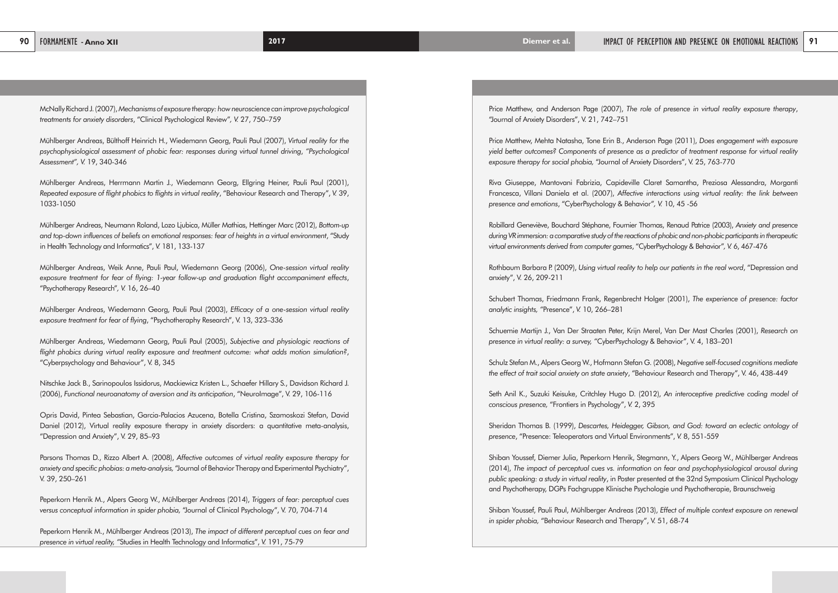Price Matthew, and Anderson Page (2007), *The role of presence in virtual reality exposure therapy*, "Journal of Anxiety Disorders", V. 21, 742–751

Price Matthew, Mehta Natasha, Tone Erin B., Anderson Page (2011), *Does engagement with exposure yield better outcomes? Components of presence as a predictor of treatment response for virtual reality exposure therapy for social phobia,* "Journal of Anxiety Disorders", V. 25, 763-770

Riva Giuseppe, Mantovani Fabrizia, Capideville Claret Samantha, Preziosa Alessandra, Morganti Francesca, Villani Daniela et al. (2007), *Affective interactions using virtual reality: the link between presence and emotions*, "CyberPsychology & Behavior"*, V.* 10, 45 -56

Robillard Geneviève, Bouchard Stéphane, Fournier Thomas, Renaud Patrice (2003), *Anxiety and presence during VR immersion: a comparative study of the reactions of phobic and non-phobic participants in therapeutic virtual environments derived from computer games*, "CyberPsychology & Behavior"*, V.* 6, 467-476

Rothbaum Barbara P. (2009), *Using virtual reality to help our patients in the real word*, "Depression and anxiety", V. 26, 209-211

Schubert Thomas, Friedmann Frank, Regenbrecht Holger (2001), *The experience of presence: factor analytic insights, "*Presence", *V.* 10, 266–281

Schuemie Martijn J., Van Der Straaten Peter, Krijn Merel, Van Der Mast Charles (2001), *Research on presence in virtual reality: a survey, "*CyberPsychology & Behavior", V. 4, 183–201

Schulz Stefan M., Alpers Georg W., Hofmann Stefan G. (2008), *Negative self-focused cognitions mediate the effect of trait social anxiety on state anxiety*, "Behaviour Research and Therapy", V. 46, 438-449

Seth Anil K., Suzuki Keisuke, Critchley Hugo D. (2012), *An interoceptive predictive coding model of conscious presence,* "Frontiers in Psychology", *V.* 2, 395

Sheridan Thomas B. (1999), *Descartes, Heidegger, Gibson, and God: toward an eclectic ontology of presence*, "Presence: Teleoperators and Virtual Environments", *V.* 8, 551-559

Shiban Youssef, Diemer Julia, Peperkorn Henrik, Stegmann, Y., Alpers Georg W., Mühlberger Andreas (2014), *The impact of perceptual cues vs. information on fear and psychophysiological arousal during public speaking: a study in virtual reality*, in Poster presented at the 32nd Symposium Clinical Psychology and Psychotherapy, DGPs Fachgruppe Klinische Psychologie und Psychotherapie, Braunschweig

Shiban Youssef, Pauli Paul, Mühlberger Andreas (2013), *Effect of multiple context exposure on renewal in spider phobia,* "Behaviour Research and Therapy", V. 51, 68-74

McNally Richard J. (2007), *Mechanisms of exposure therapy: how neuroscience can improve psychological treatments for anxiety disorders*, "Clinical Psychological Review"*, V.* 27, 750–759

Mühlberger Andreas, Bülthoff Heinrich H., Wiedemann Georg, Pauli Paul (2007), *Virtual reality for the psychophysiological assessment of phobic fear: responses during virtual tunnel driving*, *"Psychological Assessment", V.* 19, 340-346

Mühlberger Andreas, Herrmann Martin J., Wiedemann Georg, Ellgring Heiner, Pauli Paul (2001), *Repeated exposure of flight phobics to flights in virtual reality*, "Behaviour Research and Therapy", *V.* 39, 1033-1050

Mühlberger Andreas, Neumann Roland, Lozo Ljubica, Müller Mathias, Hettinger Marc (2012), *Bottom-up and top-down influences of beliefs on emotional responses: fear of heights in a virtual environment*, "Study in Health Technology and Informatics", *V.* 181, 133-137

Mühlberger Andreas, Weik Anne, Pauli Paul, Wiedemann Georg (2006), *One-session virtual reality exposure treatment for fear of flying: 1-year follow-up and graduation flight accompaniment effects*, "Psychotherapy Research"*, V.* 16, 26–40

Mühlberger Andreas, Wiedemann Georg, Pauli Paul (2003), *Efficacy of a one-session virtual reality exposure treatment for fear of flying*, "Psychotheraphy Research", V. 13, 323–336

Mühlberger Andreas, Wiedemann Georg, Pauli Paul (2005), *Subjective and physiologic reactions of flight phobics during virtual reality exposure and treatment outcome: what adds motion simulation?*, "Cyberpsychology and Behaviour", V. 8, 345

Nitschke Jack B., Sarinopoulos Issidorus, Mackiewicz Kristen L., Schaefer Hillary S., Davidson Richard J. (2006), *Functional neuroanatomy of aversion and its anticipation*, "NeuroImage", V. 29, 106-116

Opris David, Pintea Sebastian, Garcia-Palacios Azucena, Botella Cristina, Szamoskozi Stefan, David Daniel (2012), Virtual reality exposure therapy in anxiety disorders: a quantitative meta-analysis, "Depression and Anxiety", V. 29, 85–93

Parsons Thomas D., Rizzo Albert A. (2008), *Affective outcomes of virtual reality exposure therapy for anxiety and specific phobias: a meta-analysis,* "Journal of Behavior Therapy and Experimental Psychiatry", V. 39, 250–261

Peperkorn Henrik M., Alpers Georg W., Mühlberger Andreas (2014), *Triggers of fear: perceptual cues versus conceptual information in spider phobia,* "Journal of Clinical Psychology", V. 70, 704-714

Peperkorn Henrik M., Mühlberger Andreas (2013), *The impact of different perceptual cues on fear and presence in virtual reality, "*Studies in Health Technology and Informatics", *V.* 191, 75-79